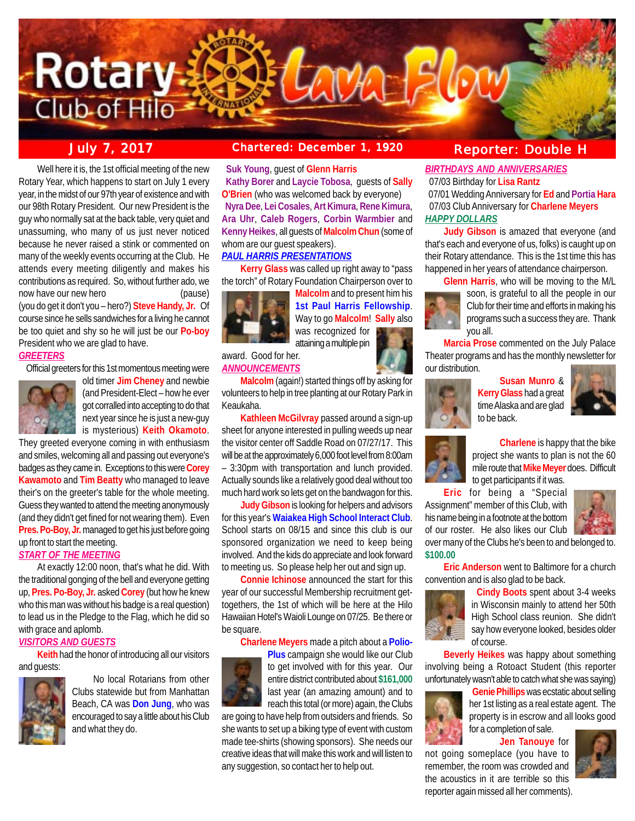

**July 7, 2017 Chartered: December 1, 1920 Reporter: Double H**

Well here it is, the 1st official meeting of the new Rotary Year, which happens to start on July 1 every year, in the midst of our 97th year of existence and with our 98th Rotary President. Our new President is the guy who normally sat at the back table, very quiet and unassuming, who many of us just never noticed because he never raised a stink or commented on many of the weekly events occurring at the Club. He attends every meeting diligently and makes his contributions as required. So, without further ado, we now have our new hero **contained** (pause)

(you do get it don't you – hero?) **Steve Handy, Jr.** Of course since he sells sandwiches for a living he cannot be too quiet and shy so he will just be our **Po-boy** President who we are glad to have.

### *GREETERS*

Official greeters for this 1st momentous meeting were



old timer **Jim Cheney** and newbie (and President-Elect – how he ever got corralled into accepting to do that next year since he is just a new-guy is mysterious) **Keith Okamoto**.

They greeted everyone coming in with enthusiasm and smiles, welcoming all and passing out everyone's badges as they came in. Exceptions to this were **Corey Kawamoto** and **Tim Beatty** who managed to leave their's on the greeter's table for the whole meeting. Guess they wanted to attend the meeting anonymously (and they didn't get fined for not wearing them). Even **Pres. Po-Boy, Jr.** managed to get his just before going up front to start the meeting.

### *START OF THE MEETING*

At exactly 12:00 noon, that's what he did. With the traditional gonging of the bell and everyone getting up, **Pres. Po-Boy, Jr.** asked **Corey** (but how he knew who this man was without his badge is a real question) to lead us in the Pledge to the Flag, which he did so with grace and aplomb.

### *VISITORS AND GUESTS*

**Keith** had the honor of introducing all our visitors and guests:



No local Rotarians from other Clubs statewide but from Manhattan Beach, CA was **Don Jung**, who was encouraged to say a little about his Club and what they do.

 **Suk Young**, guest of **Glenn Harris Kathy Borer** and **Laycie Tobosa**, guests of **Sally O'Brien** (who was welcomed back by everyone) **Nyra Dee**, **Lei Cosales**, **Art Kimura**, **Rene Kimura**, **Ara Uhr**, **Caleb Rogers**, **Corbin Warmbier** and **Kenny Heikes**, all guests of **Malcolm Chun** (some of whom are our guest speakers).

# *PAUL HARRIS PRESENTATIONS*

**Kerry Glass** was called up right away to "pass the torch" of Rotary Foundation Chairperson over to



**Malcolm** and to present him his **1st Paul Harris Fellowship**. Way to go **Malcolm**! **Sally** also was recognized for attaining a multiple pin

award. Good for her. *ANNOUNCEMENTS*

**Malcolm** (again!) started things off by asking for volunteers to help in tree planting at our Rotary Park in Keaukaha.

**Kathleen McGilvray** passed around a sign-up sheet for anyone interested in pulling weeds up near the visitor center off Saddle Road on 07/27/17. This will be at the approximately 6,000 foot level from 8:00am – 3:30pm with transportation and lunch provided. Actually sounds like a relatively good deal without too much hard work so lets get on the bandwagon for this.

**Judy Gibson** is looking for helpers and advisors for this year's **Waiakea High School Interact Club**. School starts on 08/15 and since this club is our sponsored organization we need to keep being involved. And the kids do appreciate and look forward to meeting us. So please help her out and sign up.

**Connie Ichinose** announced the start for this year of our successful Membership recruitment gettogethers, the 1st of which will be here at the Hilo Hawaiian Hotel's Waioli Lounge on 07/25. Be there or be square.

### **Charlene Meyers** made a pitch about a **Polio-**



**Plus** campaign she would like our Club to get involved with for this year. Our entire district contributed about **\$161,000** last year (an amazing amount) and to reach this total (or more) again, the Clubs

are going to have help from outsiders and friends. So she wants to set up a biking type of event with custom made tee-shirts (showing sponsors). She needs our creative ideas that will make this work and will listen to any suggestion, so contact her to help out.

*BIRTHDAYS AND ANNIVERSARIES* 07/03 Birthday for **Lisa Rantz**

 07/01 Wedding Anniversary for **Ed** and **Portia Hara** 07/03 Club Anniversary for **Charlene Meyers** *HAPPY DOLLARS*

**Judy Gibson** is amazed that everyone (and that's each and everyone of us, folks) is caught up on their Rotary attendance. This is the 1st time this has happened in her years of attendance chairperson.

**Glenn Harris**, who will be moving to the M/L



soon, is grateful to all the people in our Club for their time and efforts in making his programs such a success they are. Thank you all.

**Marcia Prose** commented on the July Palace Theater programs and has the monthly newsletter for our distribution.



**Susan Munro** & **Kerry Glass** had a great time Alaska and are glad to be back.





**Charlene** is happy that the bike project she wants to plan is not the 60 mile route that **Mike Meyer** does. Difficult to get participants if it was.

**Eric** for being a "Special Assignment" member of this Club, with his name being in a footnote at the bottom of our roster. He also likes our Club



over many of the Clubs he's been to and belonged to. **\$100.00**

**Eric Anderson** went to Baltimore for a church convention and is also glad to be back.



 **Cindy Boots** spent about 3-4 weeks in Wisconsin mainly to attend her 50th High School class reunion. She didn't say how everyone looked, besides older of course.

**Beverly Heikes** was happy about something involving being a Rotoact Student (this reporter unfortunately wasn't able to catch what she was saying)



 **Genie Phillips** was ecstatic about selling her 1st listing as a real estate agent. The property is in escrow and all looks good for a completion of sale.

**Jen Tanouye** for

not going someplace (you have to remember, the room was crowded and the acoustics in it are terrible so this reporter again missed all her comments).